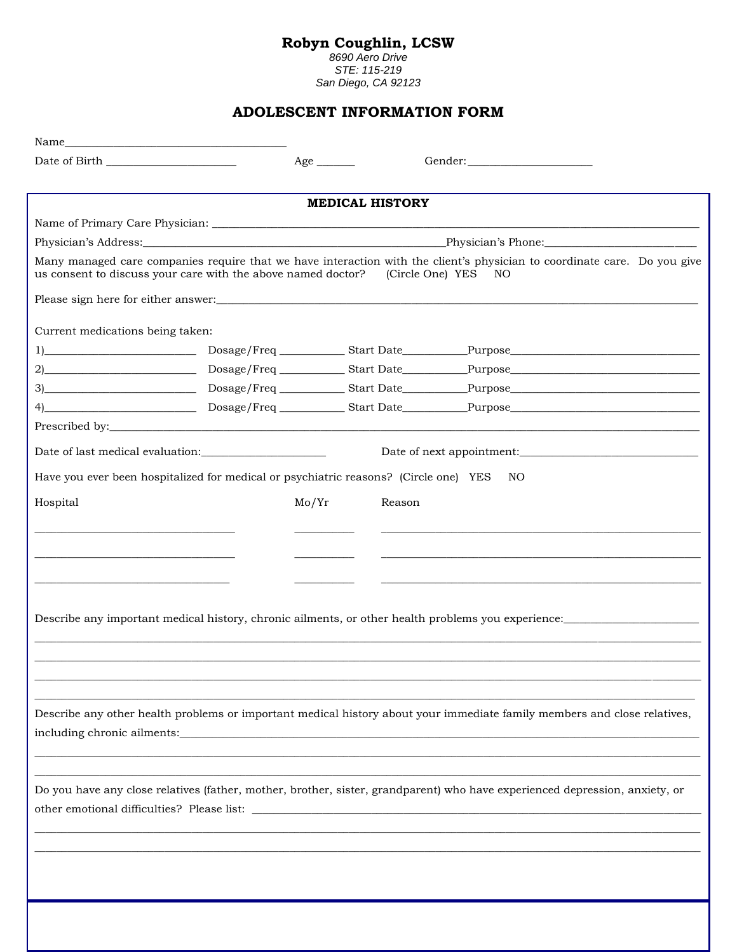## Robyn Coughlin, LCSW<br>8690 Aero Drive

STE: 115-219<br>San Diego, CA 92123

## ADOLESCENT INFORMATION FORM

| Date of Birth the state of Birth and the state of Birth and the state of Birth and the state of Birth and the state of Birth and the state of Birth and the state of Birth and the state of Birth and the state of Birth and t |                                                                                      | $Age \_$                                                                                                                                                                                                                      |                                                                                                                                                 |  |  |
|--------------------------------------------------------------------------------------------------------------------------------------------------------------------------------------------------------------------------------|--------------------------------------------------------------------------------------|-------------------------------------------------------------------------------------------------------------------------------------------------------------------------------------------------------------------------------|-------------------------------------------------------------------------------------------------------------------------------------------------|--|--|
|                                                                                                                                                                                                                                |                                                                                      |                                                                                                                                                                                                                               |                                                                                                                                                 |  |  |
|                                                                                                                                                                                                                                |                                                                                      | <b>MEDICAL HISTORY</b>                                                                                                                                                                                                        |                                                                                                                                                 |  |  |
|                                                                                                                                                                                                                                |                                                                                      |                                                                                                                                                                                                                               |                                                                                                                                                 |  |  |
|                                                                                                                                                                                                                                |                                                                                      |                                                                                                                                                                                                                               | Physician's Address: Physician's Phone: Physician's Phone:                                                                                      |  |  |
|                                                                                                                                                                                                                                | us consent to discuss your care with the above named doctor?                         |                                                                                                                                                                                                                               | Many managed care companies require that we have interaction with the client's physician to coordinate care. Do you give<br>(Circle One) YES NO |  |  |
|                                                                                                                                                                                                                                |                                                                                      |                                                                                                                                                                                                                               |                                                                                                                                                 |  |  |
| Current medications being taken:                                                                                                                                                                                               |                                                                                      |                                                                                                                                                                                                                               |                                                                                                                                                 |  |  |
|                                                                                                                                                                                                                                |                                                                                      |                                                                                                                                                                                                                               |                                                                                                                                                 |  |  |
|                                                                                                                                                                                                                                |                                                                                      |                                                                                                                                                                                                                               |                                                                                                                                                 |  |  |
|                                                                                                                                                                                                                                |                                                                                      |                                                                                                                                                                                                                               |                                                                                                                                                 |  |  |
|                                                                                                                                                                                                                                |                                                                                      |                                                                                                                                                                                                                               |                                                                                                                                                 |  |  |
|                                                                                                                                                                                                                                |                                                                                      |                                                                                                                                                                                                                               |                                                                                                                                                 |  |  |
|                                                                                                                                                                                                                                |                                                                                      |                                                                                                                                                                                                                               | Date of next appointment:                                                                                                                       |  |  |
|                                                                                                                                                                                                                                | Have you ever been hospitalized for medical or psychiatric reasons? (Circle one) YES |                                                                                                                                                                                                                               | NO                                                                                                                                              |  |  |
| Hospital                                                                                                                                                                                                                       |                                                                                      | Reason<br>Mo/Yr                                                                                                                                                                                                               |                                                                                                                                                 |  |  |
|                                                                                                                                                                                                                                |                                                                                      |                                                                                                                                                                                                                               |                                                                                                                                                 |  |  |
|                                                                                                                                                                                                                                |                                                                                      |                                                                                                                                                                                                                               |                                                                                                                                                 |  |  |
|                                                                                                                                                                                                                                |                                                                                      |                                                                                                                                                                                                                               |                                                                                                                                                 |  |  |
|                                                                                                                                                                                                                                |                                                                                      |                                                                                                                                                                                                                               |                                                                                                                                                 |  |  |
|                                                                                                                                                                                                                                |                                                                                      |                                                                                                                                                                                                                               |                                                                                                                                                 |  |  |
|                                                                                                                                                                                                                                |                                                                                      |                                                                                                                                                                                                                               | Describe any important medical history, chronic ailments, or other health problems you experience:                                              |  |  |
|                                                                                                                                                                                                                                |                                                                                      |                                                                                                                                                                                                                               |                                                                                                                                                 |  |  |
|                                                                                                                                                                                                                                |                                                                                      |                                                                                                                                                                                                                               |                                                                                                                                                 |  |  |
|                                                                                                                                                                                                                                |                                                                                      |                                                                                                                                                                                                                               |                                                                                                                                                 |  |  |
|                                                                                                                                                                                                                                |                                                                                      |                                                                                                                                                                                                                               |                                                                                                                                                 |  |  |
|                                                                                                                                                                                                                                |                                                                                      |                                                                                                                                                                                                                               |                                                                                                                                                 |  |  |
|                                                                                                                                                                                                                                |                                                                                      |                                                                                                                                                                                                                               | Describe any other health problems or important medical history about your immediate family members and close relatives,                        |  |  |
| including chronic ailments:                                                                                                                                                                                                    |                                                                                      | the control of the control of the control of the control of the control of the control of the control of the control of the control of the control of the control of the control of the control of the control of the control |                                                                                                                                                 |  |  |
|                                                                                                                                                                                                                                |                                                                                      |                                                                                                                                                                                                                               |                                                                                                                                                 |  |  |
|                                                                                                                                                                                                                                |                                                                                      |                                                                                                                                                                                                                               | Do you have any close relatives (father, mother, brother, sister, grandparent) who have experienced depression, anxiety, or                     |  |  |
|                                                                                                                                                                                                                                |                                                                                      |                                                                                                                                                                                                                               |                                                                                                                                                 |  |  |
|                                                                                                                                                                                                                                |                                                                                      |                                                                                                                                                                                                                               |                                                                                                                                                 |  |  |
|                                                                                                                                                                                                                                |                                                                                      |                                                                                                                                                                                                                               |                                                                                                                                                 |  |  |
|                                                                                                                                                                                                                                |                                                                                      |                                                                                                                                                                                                                               |                                                                                                                                                 |  |  |
|                                                                                                                                                                                                                                |                                                                                      |                                                                                                                                                                                                                               |                                                                                                                                                 |  |  |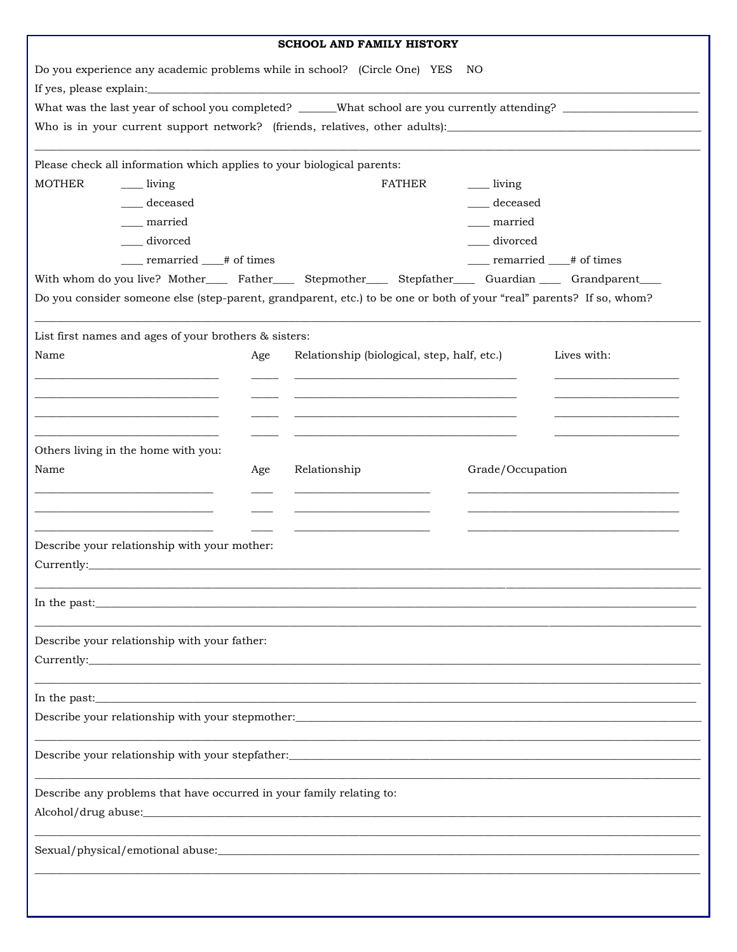| <b>SCHOOL AND FAMILY HISTORY</b>                                                                                                                                                                                                     |                                                       |     |                                                                                                                      |                    |                              |  |  |  |  |
|--------------------------------------------------------------------------------------------------------------------------------------------------------------------------------------------------------------------------------------|-------------------------------------------------------|-----|----------------------------------------------------------------------------------------------------------------------|--------------------|------------------------------|--|--|--|--|
| Do you experience any academic problems while in school? (Circle One) YES<br>NO                                                                                                                                                      |                                                       |     |                                                                                                                      |                    |                              |  |  |  |  |
|                                                                                                                                                                                                                                      |                                                       |     |                                                                                                                      |                    |                              |  |  |  |  |
|                                                                                                                                                                                                                                      |                                                       |     |                                                                                                                      |                    |                              |  |  |  |  |
|                                                                                                                                                                                                                                      |                                                       |     |                                                                                                                      |                    |                              |  |  |  |  |
| Please check all information which applies to your biological parents:                                                                                                                                                               |                                                       |     |                                                                                                                      |                    |                              |  |  |  |  |
| <b>MOTHER</b>                                                                                                                                                                                                                        | <u>__</u> living                                      |     | FATHER                                                                                                               | ______ living      |                              |  |  |  |  |
|                                                                                                                                                                                                                                      | deceased                                              |     |                                                                                                                      | ___ deceased       |                              |  |  |  |  |
|                                                                                                                                                                                                                                      | married                                               |     |                                                                                                                      | <sub>married</sub> |                              |  |  |  |  |
| divorced                                                                                                                                                                                                                             |                                                       |     |                                                                                                                      | divorced           |                              |  |  |  |  |
|                                                                                                                                                                                                                                      | ____ remarried ___# of times                          |     |                                                                                                                      |                    | ____ remarried ___# of times |  |  |  |  |
| With whom do you live? Mother________ Father________ Stepmother_______ Stepfather_______ Guardian _______ Grandparent_____                                                                                                           |                                                       |     |                                                                                                                      |                    |                              |  |  |  |  |
|                                                                                                                                                                                                                                      |                                                       |     | Do you consider someone else (step-parent, grandparent, etc.) to be one or both of your "real" parents? If so, whom? |                    |                              |  |  |  |  |
|                                                                                                                                                                                                                                      |                                                       |     |                                                                                                                      |                    |                              |  |  |  |  |
|                                                                                                                                                                                                                                      | List first names and ages of your brothers & sisters: |     |                                                                                                                      |                    |                              |  |  |  |  |
| Name                                                                                                                                                                                                                                 |                                                       | Age | Relationship (biological, step, half, etc.)                                                                          |                    | Lives with:                  |  |  |  |  |
|                                                                                                                                                                                                                                      |                                                       |     | the control of the control of the control of the control of the control of the control of                            |                    |                              |  |  |  |  |
|                                                                                                                                                                                                                                      |                                                       |     |                                                                                                                      |                    |                              |  |  |  |  |
|                                                                                                                                                                                                                                      |                                                       |     |                                                                                                                      |                    |                              |  |  |  |  |
|                                                                                                                                                                                                                                      |                                                       |     |                                                                                                                      |                    |                              |  |  |  |  |
|                                                                                                                                                                                                                                      | Others living in the home with you:                   |     |                                                                                                                      |                    |                              |  |  |  |  |
| Name                                                                                                                                                                                                                                 |                                                       | Age | Relationship                                                                                                         | Grade/Occupation   |                              |  |  |  |  |
|                                                                                                                                                                                                                                      |                                                       |     |                                                                                                                      |                    |                              |  |  |  |  |
|                                                                                                                                                                                                                                      |                                                       |     |                                                                                                                      |                    |                              |  |  |  |  |
|                                                                                                                                                                                                                                      |                                                       |     |                                                                                                                      |                    |                              |  |  |  |  |
|                                                                                                                                                                                                                                      | Describe your relationship with your mother:          |     |                                                                                                                      |                    |                              |  |  |  |  |
| Currently:                                                                                                                                                                                                                           |                                                       |     |                                                                                                                      |                    |                              |  |  |  |  |
|                                                                                                                                                                                                                                      |                                                       |     |                                                                                                                      |                    |                              |  |  |  |  |
|                                                                                                                                                                                                                                      |                                                       |     | In the past:                                                                                                         |                    |                              |  |  |  |  |
|                                                                                                                                                                                                                                      |                                                       |     |                                                                                                                      |                    |                              |  |  |  |  |
|                                                                                                                                                                                                                                      | Describe your relationship with your father:          |     |                                                                                                                      |                    |                              |  |  |  |  |
|                                                                                                                                                                                                                                      |                                                       |     |                                                                                                                      |                    |                              |  |  |  |  |
|                                                                                                                                                                                                                                      |                                                       |     |                                                                                                                      |                    |                              |  |  |  |  |
| In the past: <u>the contract of the contract of the contract of the contract of the contract of the contract of the contract of the contract of the contract of the contract of the contract of the contract of the contract of </u> |                                                       |     |                                                                                                                      |                    |                              |  |  |  |  |
|                                                                                                                                                                                                                                      |                                                       |     |                                                                                                                      |                    |                              |  |  |  |  |
|                                                                                                                                                                                                                                      |                                                       |     | Describe your relationship with your stepfather:_________________________________                                    |                    |                              |  |  |  |  |
|                                                                                                                                                                                                                                      |                                                       |     |                                                                                                                      |                    |                              |  |  |  |  |
| Describe any problems that have occurred in your family relating to:                                                                                                                                                                 |                                                       |     |                                                                                                                      |                    |                              |  |  |  |  |
|                                                                                                                                                                                                                                      |                                                       |     |                                                                                                                      |                    |                              |  |  |  |  |
|                                                                                                                                                                                                                                      |                                                       |     |                                                                                                                      |                    |                              |  |  |  |  |
|                                                                                                                                                                                                                                      |                                                       |     |                                                                                                                      |                    |                              |  |  |  |  |
|                                                                                                                                                                                                                                      |                                                       |     |                                                                                                                      |                    |                              |  |  |  |  |
|                                                                                                                                                                                                                                      |                                                       |     |                                                                                                                      |                    |                              |  |  |  |  |
|                                                                                                                                                                                                                                      |                                                       |     |                                                                                                                      |                    |                              |  |  |  |  |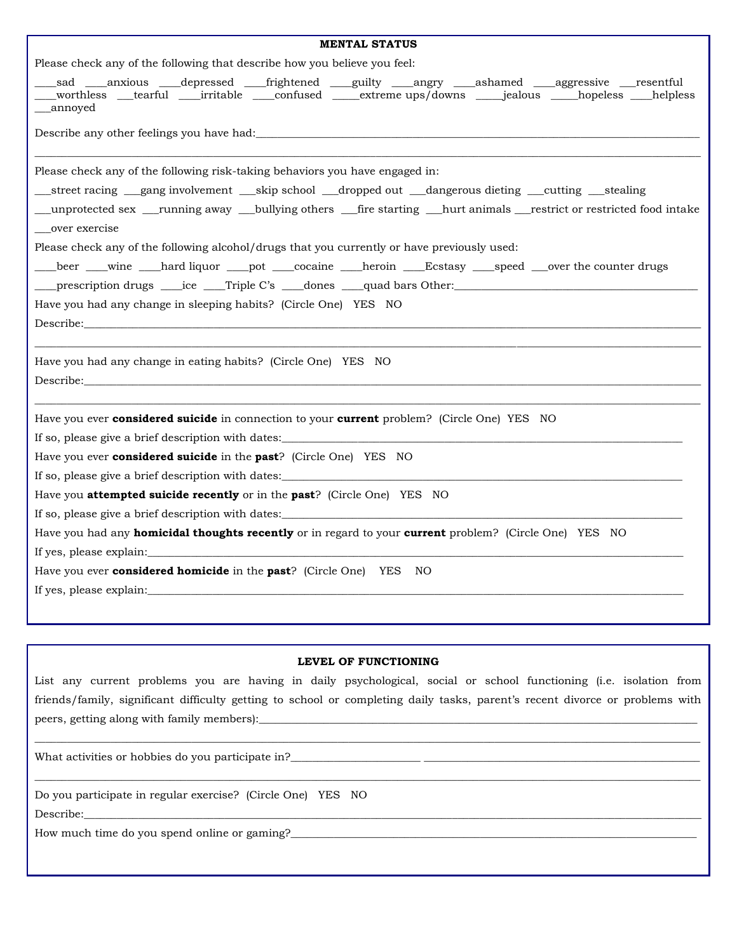## **LEVEL OF FUNCTIONING**

List any current problems you are having in daily psychological, social or school functioning (i.e. isolation from friends/family, significant difficulty getting to school or completing daily tasks, parent's recent divorce or problems with peers, getting along with family members):

 $\Box$ 

\_\_\_\_\_\_\_\_\_\_\_\_\_\_\_\_\_\_\_\_\_\_\_\_\_\_\_\_\_\_\_\_\_\_\_\_\_\_\_\_\_\_\_\_\_\_\_\_\_\_\_\_\_\_\_\_\_\_\_\_\_\_\_\_\_\_\_\_\_\_\_\_\_\_\_\_\_\_\_\_\_\_\_\_\_\_\_\_\_\_\_\_\_\_\_\_\_\_\_\_\_\_\_\_\_\_\_\_\_\_\_\_\_\_\_\_\_\_\_\_\_\_\_

What activities or hobbies do you participate in?\_\_\_\_\_\_\_\_\_\_\_\_\_\_\_\_\_\_\_\_\_\_\_\_\_\_\_\_\_\_\_

Do you participate in regular exercise? (Circle One) YES NO Describe:\_\_\_\_\_\_\_\_\_\_\_\_\_\_\_\_\_\_\_\_\_\_\_\_\_\_\_\_\_\_\_\_\_\_\_\_\_\_\_\_\_\_\_\_\_\_\_\_\_\_\_\_\_\_\_\_\_\_\_\_\_\_\_\_\_\_\_\_\_\_\_\_\_\_\_\_\_\_\_\_\_\_\_\_\_\_\_\_\_\_\_\_\_\_\_\_\_\_\_\_\_\_\_\_\_\_\_\_\_\_\_\_\_\_

How much time do you spend online or gaming?\_\_\_\_\_\_\_\_\_\_\_\_\_\_\_\_\_\_\_\_\_\_\_\_\_\_\_\_\_\_\_\_\_\_\_\_\_\_\_\_\_\_\_\_\_\_\_\_\_\_\_\_\_\_\_\_\_\_\_\_\_\_\_\_\_\_\_\_\_\_\_\_\_\_\_